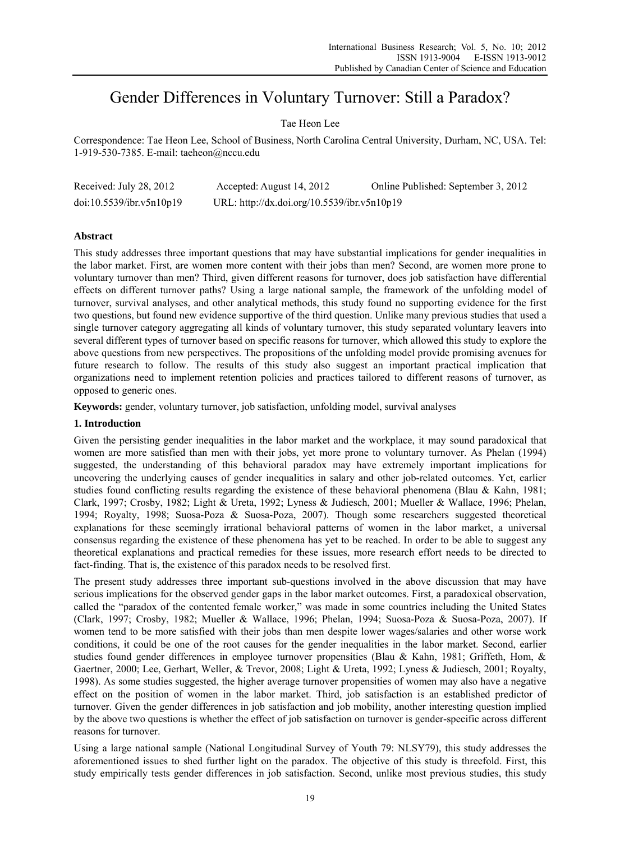# Gender Differences in Voluntary Turnover: Still a Paradox?

# Tae Heon Lee

Correspondence: Tae Heon Lee, School of Business, North Carolina Central University, Durham, NC, USA. Tel: 1-919-530-7385. E-mail: taeheon@nccu.edu

| Received: July 28, 2012  | Accepted: August 14, 2012                   | Online Published: September 3, 2012 |
|--------------------------|---------------------------------------------|-------------------------------------|
| doi:10.5539/ibr.v5n10p19 | URL: http://dx.doi.org/10.5539/ibr.v5n10p19 |                                     |

# **Abstract**

This study addresses three important questions that may have substantial implications for gender inequalities in the labor market. First, are women more content with their jobs than men? Second, are women more prone to voluntary turnover than men? Third, given different reasons for turnover, does job satisfaction have differential effects on different turnover paths? Using a large national sample, the framework of the unfolding model of turnover, survival analyses, and other analytical methods, this study found no supporting evidence for the first two questions, but found new evidence supportive of the third question. Unlike many previous studies that used a single turnover category aggregating all kinds of voluntary turnover, this study separated voluntary leavers into several different types of turnover based on specific reasons for turnover, which allowed this study to explore the above questions from new perspectives. The propositions of the unfolding model provide promising avenues for future research to follow. The results of this study also suggest an important practical implication that organizations need to implement retention policies and practices tailored to different reasons of turnover, as opposed to generic ones.

**Keywords:** gender, voluntary turnover, job satisfaction, unfolding model, survival analyses

# **1. Introduction**

Given the persisting gender inequalities in the labor market and the workplace, it may sound paradoxical that women are more satisfied than men with their jobs, yet more prone to voluntary turnover. As Phelan (1994) suggested, the understanding of this behavioral paradox may have extremely important implications for uncovering the underlying causes of gender inequalities in salary and other job-related outcomes. Yet, earlier studies found conflicting results regarding the existence of these behavioral phenomena (Blau & Kahn, 1981; Clark, 1997; Crosby, 1982; Light & Ureta, 1992; Lyness & Judiesch, 2001; Mueller & Wallace, 1996; Phelan, 1994; Royalty, 1998; Suosa-Poza & Suosa-Poza, 2007). Though some researchers suggested theoretical explanations for these seemingly irrational behavioral patterns of women in the labor market, a universal consensus regarding the existence of these phenomena has yet to be reached. In order to be able to suggest any theoretical explanations and practical remedies for these issues, more research effort needs to be directed to fact-finding. That is, the existence of this paradox needs to be resolved first.

The present study addresses three important sub-questions involved in the above discussion that may have serious implications for the observed gender gaps in the labor market outcomes. First, a paradoxical observation, called the "paradox of the contented female worker," was made in some countries including the United States (Clark, 1997; Crosby, 1982; Mueller & Wallace, 1996; Phelan, 1994; Suosa-Poza & Suosa-Poza, 2007). If women tend to be more satisfied with their jobs than men despite lower wages/salaries and other worse work conditions, it could be one of the root causes for the gender inequalities in the labor market. Second, earlier studies found gender differences in employee turnover propensities (Blau & Kahn, 1981; Griffeth, Hom, & Gaertner, 2000; Lee, Gerhart, Weller, & Trevor, 2008; Light & Ureta, 1992; Lyness & Judiesch, 2001; Royalty, 1998). As some studies suggested, the higher average turnover propensities of women may also have a negative effect on the position of women in the labor market. Third, job satisfaction is an established predictor of turnover. Given the gender differences in job satisfaction and job mobility, another interesting question implied by the above two questions is whether the effect of job satisfaction on turnover is gender-specific across different reasons for turnover.

Using a large national sample (National Longitudinal Survey of Youth 79: NLSY79), this study addresses the aforementioned issues to shed further light on the paradox. The objective of this study is threefold. First, this study empirically tests gender differences in job satisfaction. Second, unlike most previous studies, this study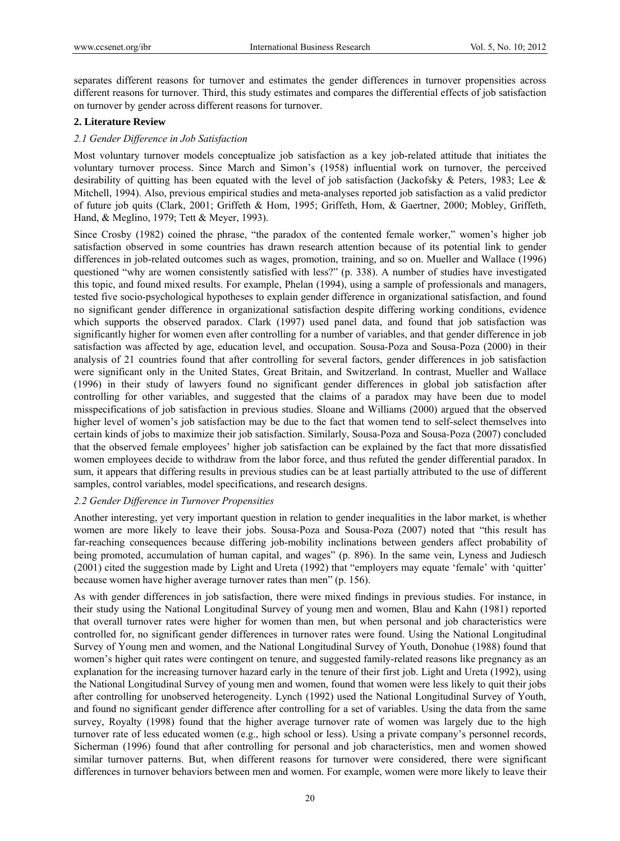separates different reasons for turnover and estimates the gender differences in turnover propensities across different reasons for turnover. Third, this study estimates and compares the differential effects of job satisfaction on turnover by gender across different reasons for turnover.

## **2. Literature Review**

## *2.1 Gender Difference in Job Satisfaction*

Most voluntary turnover models conceptualize job satisfaction as a key job-related attitude that initiates the voluntary turnover process. Since March and Simon's (1958) influential work on turnover, the perceived desirability of quitting has been equated with the level of job satisfaction (Jackofsky & Peters, 1983; Lee & Mitchell, 1994). Also, previous empirical studies and meta-analyses reported job satisfaction as a valid predictor of future job quits (Clark, 2001; Griffeth & Hom, 1995; Griffeth, Hom, & Gaertner, 2000; Mobley, Griffeth, Hand, & Meglino, 1979; Tett & Meyer, 1993).

Since Crosby (1982) coined the phrase, "the paradox of the contented female worker," women's higher job satisfaction observed in some countries has drawn research attention because of its potential link to gender differences in job-related outcomes such as wages, promotion, training, and so on. Mueller and Wallace (1996) questioned "why are women consistently satisfied with less?" (p. 338). A number of studies have investigated this topic, and found mixed results. For example, Phelan (1994), using a sample of professionals and managers, tested five socio-psychological hypotheses to explain gender difference in organizational satisfaction, and found no significant gender difference in organizational satisfaction despite differing working conditions, evidence which supports the observed paradox. Clark (1997) used panel data, and found that job satisfaction was significantly higher for women even after controlling for a number of variables, and that gender difference in job satisfaction was affected by age, education level, and occupation. Sousa*-*Poza and Sousa*-*Poza (2000) in their analysis of 21 countries found that after controlling for several factors, gender differences in job satisfaction were significant only in the United States, Great Britain, and Switzerland. In contrast, Mueller and Wallace (1996) in their study of lawyers found no significant gender differences in global job satisfaction after controlling for other variables, and suggested that the claims of a paradox may have been due to model misspecifications of job satisfaction in previous studies. Sloane and Williams (2000) argued that the observed higher level of women's job satisfaction may be due to the fact that women tend to self-select themselves into certain kinds of jobs to maximize their job satisfaction. Similarly, Sousa*-*Poza and Sousa*-*Poza (2007) concluded that the observed female employees' higher job satisfaction can be explained by the fact that more dissatisfied women employees decide to withdraw from the labor force, and thus refuted the gender differential paradox. In sum, it appears that differing results in previous studies can be at least partially attributed to the use of different samples, control variables, model specifications, and research designs.

#### *2.2 Gender Difference in Turnover Propensities*

Another interesting, yet very important question in relation to gender inequalities in the labor market, is whether women are more likely to leave their jobs. Sousa*-*Poza and Sousa*-*Poza (2007) noted that "this result has far-reaching consequences because differing job-mobility inclinations between genders affect probability of being promoted, accumulation of human capital, and wages" (p. 896). In the same vein, Lyness and Judiesch (2001) cited the suggestion made by Light and Ureta (1992) that "employers may equate 'female' with 'quitter' because women have higher average turnover rates than men" (p. 156).

As with gender differences in job satisfaction, there were mixed findings in previous studies. For instance, in their study using the National Longitudinal Survey of young men and women, Blau and Kahn (1981) reported that overall turnover rates were higher for women than men, but when personal and job characteristics were controlled for, no significant gender differences in turnover rates were found. Using the National Longitudinal Survey of Young men and women, and the National Longitudinal Survey of Youth, Donohue (1988) found that women's higher quit rates were contingent on tenure, and suggested family-related reasons like pregnancy as an explanation for the increasing turnover hazard early in the tenure of their first job. Light and Ureta (1992), using the National Longitudinal Survey of young men and women, found that women were less likely to quit their jobs after controlling for unobserved heterogeneity. Lynch (1992) used the National Longitudinal Survey of Youth, and found no significant gender difference after controlling for a set of variables. Using the data from the same survey, Royalty (1998) found that the higher average turnover rate of women was largely due to the high turnover rate of less educated women (e.g., high school or less). Using a private company's personnel records, Sicherman (1996) found that after controlling for personal and job characteristics, men and women showed similar turnover patterns. But, when different reasons for turnover were considered, there were significant differences in turnover behaviors between men and women. For example, women were more likely to leave their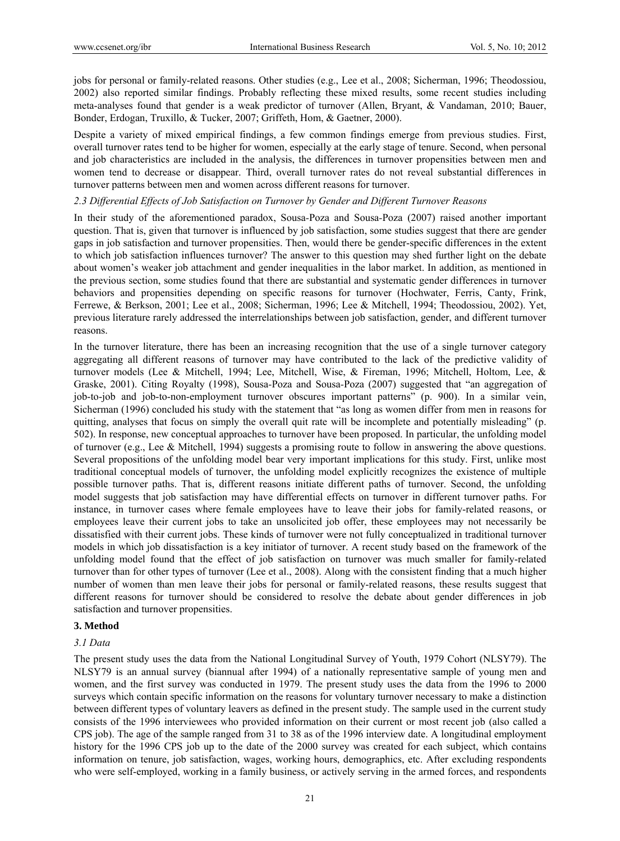jobs for personal or family-related reasons. Other studies (e.g., Lee et al., 2008; Sicherman, 1996; Theodossiou, 2002) also reported similar findings. Probably reflecting these mixed results, some recent studies including meta-analyses found that gender is a weak predictor of turnover (Allen, Bryant, & Vandaman, 2010; Bauer, Bonder, Erdogan, Truxillo, & Tucker, 2007; Griffeth, Hom, & Gaetner, 2000).

Despite a variety of mixed empirical findings, a few common findings emerge from previous studies. First, overall turnover rates tend to be higher for women, especially at the early stage of tenure. Second, when personal and job characteristics are included in the analysis, the differences in turnover propensities between men and women tend to decrease or disappear. Third, overall turnover rates do not reveal substantial differences in turnover patterns between men and women across different reasons for turnover.

#### *2.3 Differential Effects of Job Satisfaction on Turnover by Gender and Different Turnover Reasons*

In their study of the aforementioned paradox, Sousa*-*Poza and Sousa*-*Poza (2007) raised another important question. That is, given that turnover is influenced by job satisfaction, some studies suggest that there are gender gaps in job satisfaction and turnover propensities. Then, would there be gender-specific differences in the extent to which job satisfaction influences turnover? The answer to this question may shed further light on the debate about women's weaker job attachment and gender inequalities in the labor market. In addition, as mentioned in the previous section, some studies found that there are substantial and systematic gender differences in turnover behaviors and propensities depending on specific reasons for turnover (Hochwater, Ferris, Canty, Frink, Ferrewe, & Berkson, 2001; Lee et al., 2008; Sicherman, 1996; Lee & Mitchell, 1994; Theodossiou, 2002). Yet, previous literature rarely addressed the interrelationships between job satisfaction, gender, and different turnover reasons.

In the turnover literature, there has been an increasing recognition that the use of a single turnover category aggregating all different reasons of turnover may have contributed to the lack of the predictive validity of turnover models (Lee & Mitchell, 1994; Lee, Mitchell, Wise, & Fireman, 1996; Mitchell, Holtom, Lee, & Graske, 2001). Citing Royalty (1998), Sousa*-*Poza and Sousa*-*Poza (2007) suggested that "an aggregation of job-to-job and job-to-non-employment turnover obscures important patterns" (p. 900). In a similar vein, Sicherman (1996) concluded his study with the statement that "as long as women differ from men in reasons for quitting, analyses that focus on simply the overall quit rate will be incomplete and potentially misleading" (p. 502). In response, new conceptual approaches to turnover have been proposed. In particular, the unfolding model of turnover (e.g., Lee & Mitchell, 1994) suggests a promising route to follow in answering the above questions. Several propositions of the unfolding model bear very important implications for this study. First, unlike most traditional conceptual models of turnover, the unfolding model explicitly recognizes the existence of multiple possible turnover paths. That is, different reasons initiate different paths of turnover. Second, the unfolding model suggests that job satisfaction may have differential effects on turnover in different turnover paths. For instance, in turnover cases where female employees have to leave their jobs for family-related reasons, or employees leave their current jobs to take an unsolicited job offer, these employees may not necessarily be dissatisfied with their current jobs. These kinds of turnover were not fully conceptualized in traditional turnover models in which job dissatisfaction is a key initiator of turnover. A recent study based on the framework of the unfolding model found that the effect of job satisfaction on turnover was much smaller for family-related turnover than for other types of turnover (Lee et al., 2008). Along with the consistent finding that a much higher number of women than men leave their jobs for personal or family-related reasons, these results suggest that different reasons for turnover should be considered to resolve the debate about gender differences in job satisfaction and turnover propensities.

#### **3. Method**

#### *3.1 Data*

The present study uses the data from the National Longitudinal Survey of Youth, 1979 Cohort (NLSY79). The NLSY79 is an annual survey (biannual after 1994) of a nationally representative sample of young men and women, and the first survey was conducted in 1979. The present study uses the data from the 1996 to 2000 surveys which contain specific information on the reasons for voluntary turnover necessary to make a distinction between different types of voluntary leavers as defined in the present study. The sample used in the current study consists of the 1996 interviewees who provided information on their current or most recent job (also called a CPS job). The age of the sample ranged from 31 to 38 as of the 1996 interview date. A longitudinal employment history for the 1996 CPS job up to the date of the 2000 survey was created for each subject, which contains information on tenure, job satisfaction, wages, working hours, demographics, etc. After excluding respondents who were self-employed, working in a family business, or actively serving in the armed forces, and respondents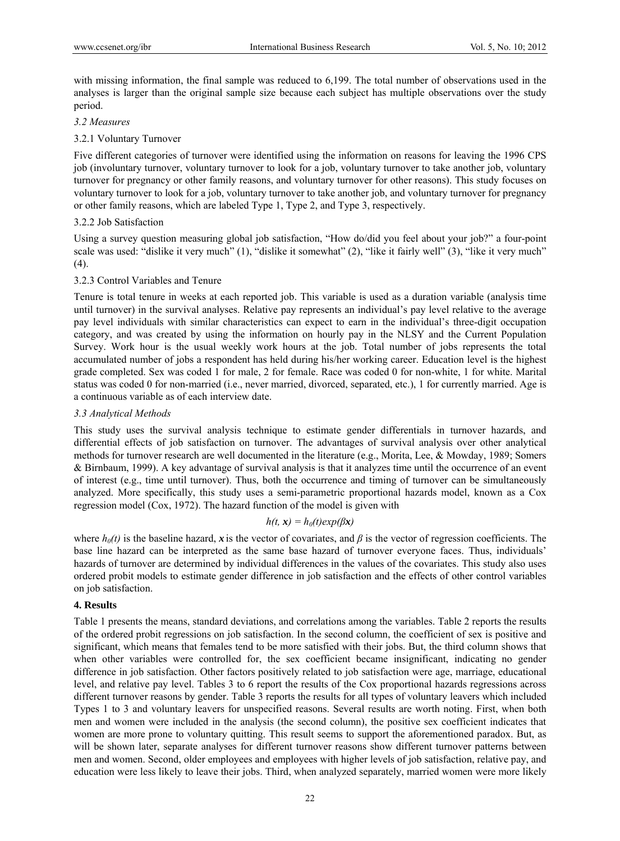with missing information, the final sample was reduced to 6,199. The total number of observations used in the analyses is larger than the original sample size because each subject has multiple observations over the study period.

## *3.2 Measures*

## 3.2.1 Voluntary Turnover

Five different categories of turnover were identified using the information on reasons for leaving the 1996 CPS job (involuntary turnover, voluntary turnover to look for a job, voluntary turnover to take another job, voluntary turnover for pregnancy or other family reasons, and voluntary turnover for other reasons). This study focuses on voluntary turnover to look for a job, voluntary turnover to take another job, and voluntary turnover for pregnancy or other family reasons, which are labeled Type 1, Type 2, and Type 3, respectively.

## 3.2.2 Job Satisfaction

Using a survey question measuring global job satisfaction, "How do/did you feel about your job?" a four-point scale was used: "dislike it very much" (1), "dislike it somewhat" (2), "like it fairly well" (3), "like it very much"  $(4)$ .

## 3.2.3 Control Variables and Tenure

Tenure is total tenure in weeks at each reported job. This variable is used as a duration variable (analysis time until turnover) in the survival analyses. Relative pay represents an individual's pay level relative to the average pay level individuals with similar characteristics can expect to earn in the individual's three-digit occupation category, and was created by using the information on hourly pay in the NLSY and the Current Population Survey. Work hour is the usual weekly work hours at the job. Total number of jobs represents the total accumulated number of jobs a respondent has held during his/her working career. Education level is the highest grade completed. Sex was coded 1 for male, 2 for female. Race was coded 0 for non-white, 1 for white. Marital status was coded 0 for non-married (i.e., never married, divorced, separated, etc.), 1 for currently married. Age is a continuous variable as of each interview date.

## *3.3 Analytical Methods*

This study uses the survival analysis technique to estimate gender differentials in turnover hazards, and differential effects of job satisfaction on turnover. The advantages of survival analysis over other analytical methods for turnover research are well documented in the literature (e.g., Morita, Lee, & Mowday, 1989; Somers & Birnbaum, 1999). A key advantage of survival analysis is that it analyzes time until the occurrence of an event of interest (e.g., time until turnover). Thus, both the occurrence and timing of turnover can be simultaneously analyzed. More specifically, this study uses a semi-parametric proportional hazards model, known as a Cox regression model (Cox, 1972). The hazard function of the model is given with

# $h(t, x) = h_0(t) exp(\beta x)$

where  $h_0(t)$  is the baseline hazard, *x* is the vector of covariates, and  $\beta$  is the vector of regression coefficients. The base line hazard can be interpreted as the same base hazard of turnover everyone faces. Thus, individuals' hazards of turnover are determined by individual differences in the values of the covariates. This study also uses ordered probit models to estimate gender difference in job satisfaction and the effects of other control variables on job satisfaction.

## **4. Results**

Table 1 presents the means, standard deviations, and correlations among the variables. Table 2 reports the results of the ordered probit regressions on job satisfaction. In the second column, the coefficient of sex is positive and significant, which means that females tend to be more satisfied with their jobs. But, the third column shows that when other variables were controlled for, the sex coefficient became insignificant, indicating no gender difference in job satisfaction. Other factors positively related to job satisfaction were age, marriage, educational level, and relative pay level. Tables 3 to 6 report the results of the Cox proportional hazards regressions across different turnover reasons by gender. Table 3 reports the results for all types of voluntary leavers which included Types 1 to 3 and voluntary leavers for unspecified reasons. Several results are worth noting. First, when both men and women were included in the analysis (the second column), the positive sex coefficient indicates that women are more prone to voluntary quitting. This result seems to support the aforementioned paradox. But, as will be shown later, separate analyses for different turnover reasons show different turnover patterns between men and women. Second, older employees and employees with higher levels of job satisfaction, relative pay, and education were less likely to leave their jobs. Third, when analyzed separately, married women were more likely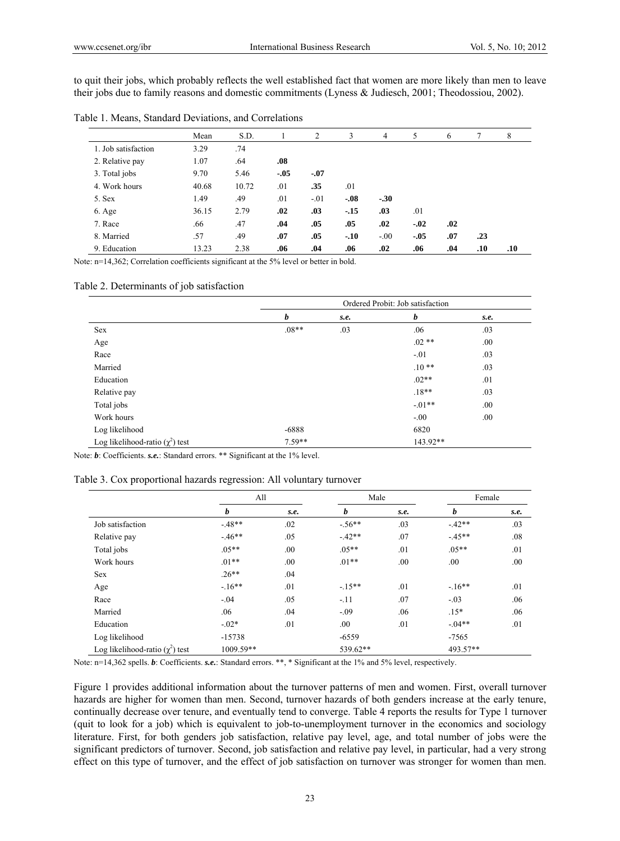to quit their jobs, which probably reflects the well established fact that women are more likely than men to leave their jobs due to family reasons and domestic commitments (Lyness & Judiesch, 2001; Theodossiou, 2002).

|                     | Mean  | S.D.  |         | 2      | 3      | 4      | 5      | 6   | 7   | 8   |
|---------------------|-------|-------|---------|--------|--------|--------|--------|-----|-----|-----|
| 1. Job satisfaction | 3.29  | .74   |         |        |        |        |        |     |     |     |
| 2. Relative pay     | 1.07  | .64   | .08     |        |        |        |        |     |     |     |
| 3. Total jobs       | 9.70  | 5.46  | $-0.05$ | $-.07$ |        |        |        |     |     |     |
| 4. Work hours       | 40.68 | 10.72 | .01     | .35    | .01    |        |        |     |     |     |
| 5. Sex              | 1.49  | .49   | .01     | $-.01$ | $-.08$ | $-.30$ |        |     |     |     |
| $6. \text{Age}$     | 36.15 | 2.79  | .02     | .03    | $-15$  | .03    | .01    |     |     |     |
| 7. Race             | .66   | .47   | .04     | .05    | .05    | .02    | $-.02$ | .02 |     |     |
| 8. Married          | .57   | .49   | .07     | .05    | $-.10$ | $-.00$ | $-.05$ | .07 | .23 |     |
| 9. Education        | 13.23 | 2.38  | .06     | .04    | .06    | .02    | .06    | .04 | .10 | .10 |

Table 1. Means, Standard Deviations, and Correlations

Note:  $n=14,362$ ; Correlation coefficients significant at the 5% level or better in bold.

#### Table 2. Determinants of job satisfaction

|                                      | Ordered Probit: Job satisfaction |      |          |      |  |  |
|--------------------------------------|----------------------------------|------|----------|------|--|--|
|                                      | b                                | s.e. | b        | s.e. |  |  |
| Sex                                  | $.08**$                          | .03  | .06      | .03  |  |  |
| Age                                  |                                  |      | $.02**$  | .00  |  |  |
| Race                                 |                                  |      | $-.01$   | .03  |  |  |
| Married                              |                                  |      | $.10**$  | .03  |  |  |
| Education                            |                                  |      | $.02**$  | .01  |  |  |
| Relative pay                         |                                  |      | $.18**$  | .03  |  |  |
| Total jobs                           |                                  |      | $-.01**$ | .00  |  |  |
| Work hours                           |                                  |      | $-.00$   | .00  |  |  |
| Log likelihood                       | $-6888$                          |      | 6820     |      |  |  |
| Log likelihood-ratio $(\chi^2)$ test | 7.59**<br>143.92**               |      |          |      |  |  |

Note: *b*: Coefficients. *s.e.*: Standard errors. \*\* Significant at the 1% level.

Table 3. Cox proportional hazards regression: All voluntary turnover

|                                      |           | All<br>Male |          |      | Female   |      |
|--------------------------------------|-----------|-------------|----------|------|----------|------|
|                                      | b         | s.e.        | b        | s.e. | b        | s.e. |
| Job satisfaction                     | $-48**$   | .02         | $-56**$  | .03  | $-42**$  | .03  |
| Relative pay                         | $-46**$   | .05         | $-42**$  | .07  | $-45**$  | .08  |
| Total jobs                           | $.05**$   | .00         | $.05**$  | .01  | $.05**$  | .01  |
| Work hours                           | $.01**$   | .00         | $.01**$  | .00. | .00      | .00. |
| Sex                                  | $.26**$   | .04         |          |      |          |      |
| Age                                  | $-16**$   | .01         | $-15**$  | .01  | $-16**$  | .01  |
| Race                                 | $-.04$    | .05         | $-.11$   | .07  | $-.03$   | .06  |
| Married                              | .06       | .04         | $-.09$   | .06  | $.15*$   | .06  |
| Education                            | $-.02*$   | .01         | .00.     | .01  | $-04**$  | .01  |
| Log likelihood                       | $-15738$  |             | $-6559$  |      | $-7565$  |      |
| Log likelihood-ratio $(\chi^2)$ test | 1009.59** |             | 539.62** |      | 493.57** |      |

Note:  $n=14,362$  spells. *b*: Coefficients. *s.e.*: Standard errors. \*\*, \* Significant at the 1% and 5% level, respectively.

Figure 1 provides additional information about the turnover patterns of men and women. First, overall turnover hazards are higher for women than men. Second, turnover hazards of both genders increase at the early tenure, continually decrease over tenure, and eventually tend to converge. Table 4 reports the results for Type 1 turnover (quit to look for a job) which is equivalent to job-to-unemployment turnover in the economics and sociology literature. First, for both genders job satisfaction, relative pay level, age, and total number of jobs were the significant predictors of turnover. Second, job satisfaction and relative pay level, in particular, had a very strong effect on this type of turnover, and the effect of job satisfaction on turnover was stronger for women than men.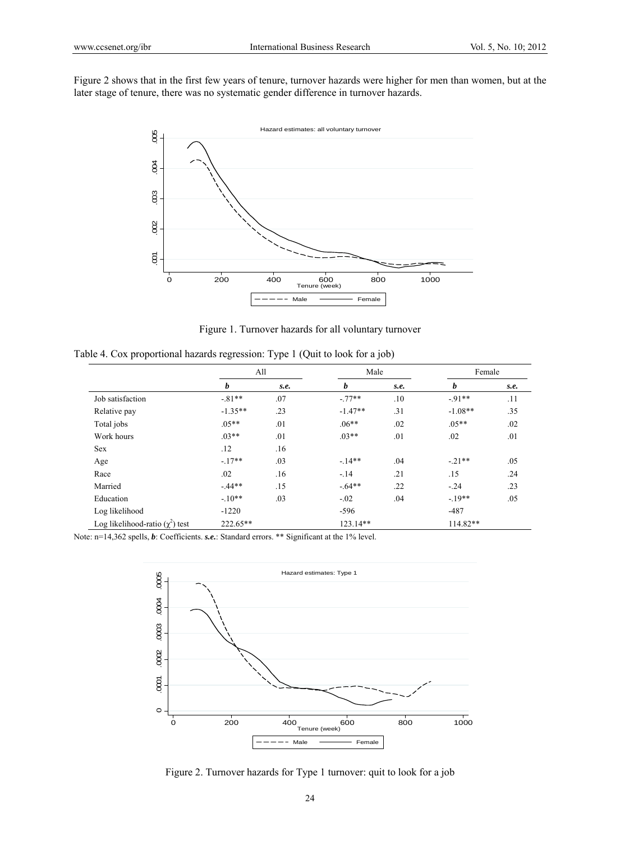Figure 2 shows that in the first few years of tenure, turnover hazards were higher for men than women, but at the later stage of tenure, there was no systematic gender difference in turnover hazards.



Figure 1. Turnover hazards for all voluntary turnover

Table 4. Cox proportional hazards regression: Type 1 (Quit to look for a job)

|                                      | All       |      |           | Male |           | Female |  |
|--------------------------------------|-----------|------|-----------|------|-----------|--------|--|
|                                      | b         | s.e. | b         | s.e. | b         | s.e.   |  |
| Job satisfaction                     | $-81**$   | .07  | $-.77**$  | .10  | $-91**$   | .11    |  |
| Relative pay                         | $-1.35**$ | .23  | $-1.47**$ | .31  | $-1.08**$ | .35    |  |
| Total jobs                           | $.05**$   | .01  | $.06**$   | .02  | $.05**$   | .02    |  |
| Work hours                           | $.03**$   | .01  | $.03**$   | .01  | .02       | .01    |  |
| <b>Sex</b>                           | .12       | .16  |           |      |           |        |  |
| Age                                  | $-17**$   | .03  | $-14**$   | .04  | $-.21**$  | .05    |  |
| Race                                 | .02       | .16  | $-.14$    | .21  | .15       | .24    |  |
| Married                              | $-44**$   | .15  | $-64**$   | .22  | $-.24$    | .23    |  |
| Education                            | $-10**$   | .03  | $-.02$    | .04  | $-19**$   | .05    |  |
| Log likelihood                       | $-1220$   |      | $-596$    |      | $-487$    |        |  |
| Log likelihood-ratio $(\chi^2)$ test | 222.65**  |      | 123.14**  |      | 114.82**  |        |  |

Note: n=14,362 spells, *b*: Coefficients. *s.e.*: Standard errors. \*\* Significant at the 1% level.



Figure 2. Turnover hazards for Type 1 turnover: quit to look for a job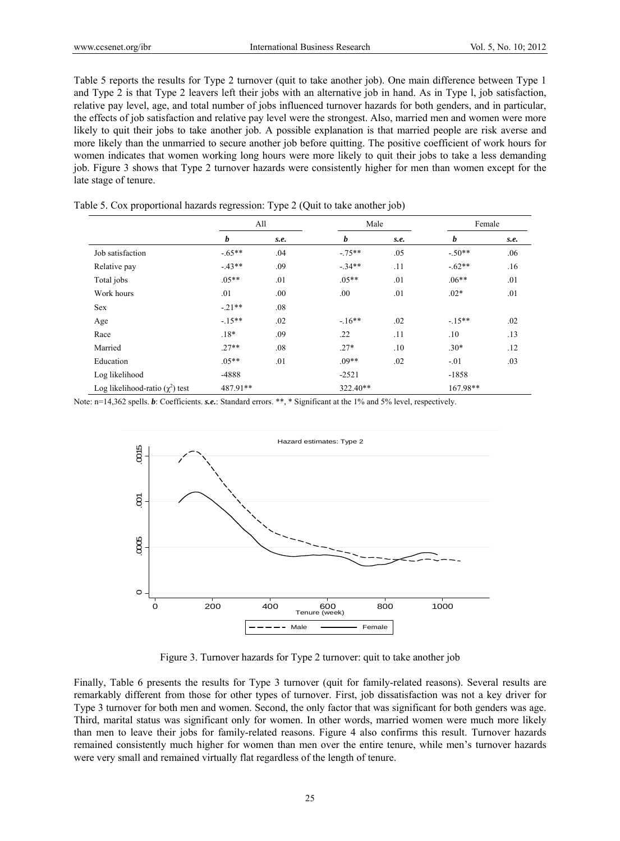Table 5 reports the results for Type 2 turnover (quit to take another job). One main difference between Type 1 and Type 2 is that Type 2 leavers left their jobs with an alternative job in hand. As in Type l, job satisfaction, relative pay level, age, and total number of jobs influenced turnover hazards for both genders, and in particular, the effects of job satisfaction and relative pay level were the strongest. Also, married men and women were more likely to quit their jobs to take another job. A possible explanation is that married people are risk averse and more likely than the unmarried to secure another job before quitting. The positive coefficient of work hours for women indicates that women working long hours were more likely to quit their jobs to take a less demanding job. Figure 3 shows that Type 2 turnover hazards were consistently higher for men than women except for the late stage of tenure.

|                                      | All      |      | Male     |      | Female   |      |
|--------------------------------------|----------|------|----------|------|----------|------|
|                                      | b        | s.e. | b        | s.e. | b        | s.e. |
| Job satisfaction                     | $-65**$  | .04  | $-75**$  | .05  | $-50**$  | .06  |
| Relative pay                         | $-43**$  | .09  | $-34**$  | .11  | $-.62**$ | .16  |
| Total jobs                           | $.05**$  | .01  | $.05**$  | .01  | $.06**$  | .01  |
| Work hours                           | .01      | .00  | .00.     | .01  | $.02*$   | .01  |
| Sex                                  | $-21**$  | .08  |          |      |          |      |
| Age                                  | $-15**$  | .02  | $-16**$  | .02  | $-15**$  | .02  |
| Race                                 | $.18*$   | .09  | .22      | .11  | .10      | .13  |
| Married                              | $.27**$  | .08  | $.27*$   | .10  | $.30*$   | .12  |
| Education                            | $.05**$  | .01  | $.09**$  | .02  | $-.01$   | .03  |
| Log likelihood                       | -4888    |      | $-2521$  |      | $-1858$  |      |
| Log likelihood-ratio $(\chi^2)$ test | 487.91** |      | 322.40** |      | 167.98** |      |

Table 5. Cox proportional hazards regression: Type 2 (Quit to take another job)

Note:  $n=14,362$  spells. *b*: Coefficients. *s.e.*: Standard errors. \*\*, \* Significant at the 1% and 5% level, respectively.



Figure 3. Turnover hazards for Type 2 turnover: quit to take another job

Finally, Table 6 presents the results for Type 3 turnover (quit for family-related reasons). Several results are remarkably different from those for other types of turnover. First, job dissatisfaction was not a key driver for Type 3 turnover for both men and women. Second, the only factor that was significant for both genders was age. Third, marital status was significant only for women. In other words, married women were much more likely than men to leave their jobs for family-related reasons. Figure 4 also confirms this result. Turnover hazards remained consistently much higher for women than men over the entire tenure, while men's turnover hazards were very small and remained virtually flat regardless of the length of tenure.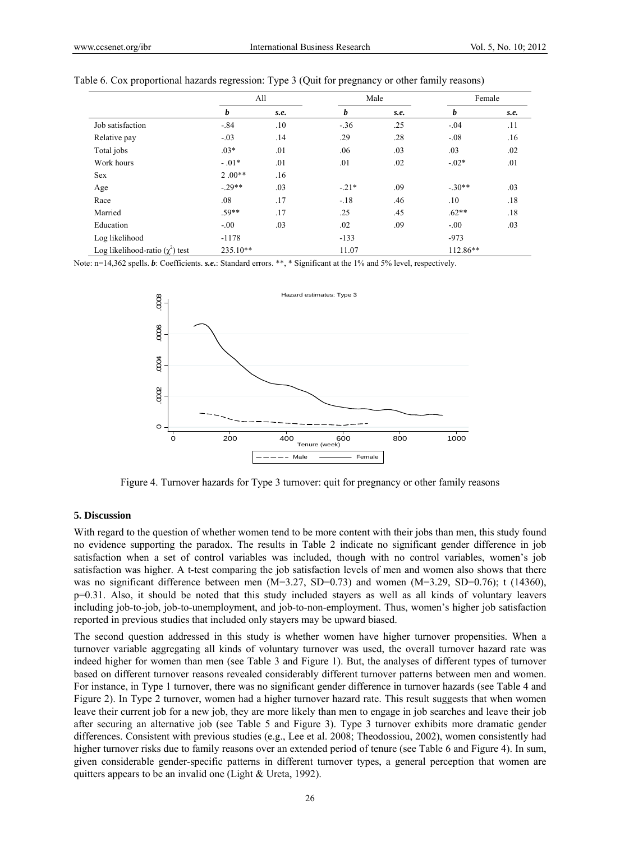|                                      | All        |      |        | Male |          | Female |  |
|--------------------------------------|------------|------|--------|------|----------|--------|--|
|                                      | b          | s.e. | b      | s.e. | b        | s.e.   |  |
| Job satisfaction                     | $-0.84$    | .10  | $-.36$ | .25  | $-.04$   | .11    |  |
| Relative pay                         | $-.03$     | .14  | .29    | .28  | $-.08$   | .16    |  |
| Total jobs                           | $.03*$     | .01  | .06    | .03  | .03      | .02    |  |
| Work hours                           | $-.01*$    | .01  | .01    | .02  | $-0.02*$ | .01    |  |
| <b>Sex</b>                           | $2.00**$   | .16  |        |      |          |        |  |
| Age                                  | $-29**$    | .03  | $-21*$ | .09  | $-.30**$ | .03    |  |
| Race                                 | .08        | .17  | $-.18$ | .46  | .10      | .18    |  |
| Married                              | $.59**$    | .17  | .25    | .45  | $.62**$  | .18    |  |
| Education                            | $-.00$     | .03  | .02    | .09  | $-.00$   | .03    |  |
| Log likelihood                       | $-1178$    |      | $-133$ |      | $-973$   |        |  |
| Log likelihood-ratio $(\chi^2)$ test | $235.10**$ |      | 11.07  |      | 112.86** |        |  |

|  |  |  | Table 6. Cox proportional hazards regression: Type 3 (Quit for pregnancy or other family reasons) |
|--|--|--|---------------------------------------------------------------------------------------------------|
|  |  |  |                                                                                                   |

Note:  $n=14,362$  spells. *b*: Coefficients. *s.e.*: Standard errors. \*\*, \* Significant at the 1% and 5% level, respectively.



Figure 4. Turnover hazards for Type 3 turnover: quit for pregnancy or other family reasons

#### **5. Discussion**

With regard to the question of whether women tend to be more content with their jobs than men, this study found no evidence supporting the paradox. The results in Table 2 indicate no significant gender difference in job satisfaction when a set of control variables was included, though with no control variables, women's job satisfaction was higher. A t-test comparing the job satisfaction levels of men and women also shows that there was no significant difference between men  $(M=3.27, SD=0.73)$  and women  $(M=3.29, SD=0.76)$ ; t (14360), p=0.31. Also, it should be noted that this study included stayers as well as all kinds of voluntary leavers including job-to-job, job-to-unemployment, and job-to-non-employment. Thus, women's higher job satisfaction reported in previous studies that included only stayers may be upward biased.

The second question addressed in this study is whether women have higher turnover propensities. When a turnover variable aggregating all kinds of voluntary turnover was used, the overall turnover hazard rate was indeed higher for women than men (see Table 3 and Figure 1). But, the analyses of different types of turnover based on different turnover reasons revealed considerably different turnover patterns between men and women. For instance, in Type 1 turnover, there was no significant gender difference in turnover hazards (see Table 4 and Figure 2). In Type 2 turnover, women had a higher turnover hazard rate. This result suggests that when women leave their current job for a new job, they are more likely than men to engage in job searches and leave their job after securing an alternative job (see Table 5 and Figure 3). Type 3 turnover exhibits more dramatic gender differences. Consistent with previous studies (e.g., Lee et al. 2008; Theodossiou, 2002), women consistently had higher turnover risks due to family reasons over an extended period of tenure (see Table 6 and Figure 4). In sum, given considerable gender-specific patterns in different turnover types, a general perception that women are quitters appears to be an invalid one (Light & Ureta, 1992).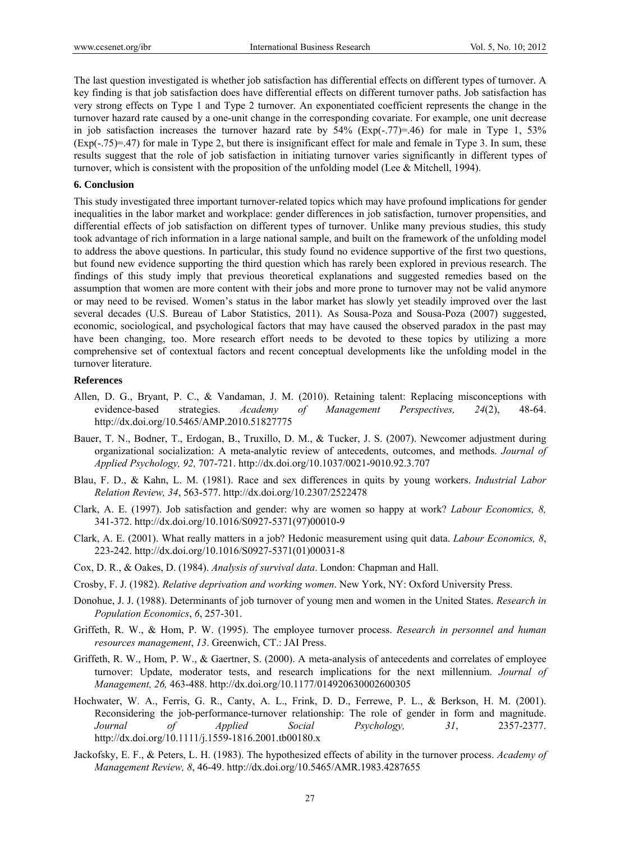The last question investigated is whether job satisfaction has differential effects on different types of turnover. A key finding is that job satisfaction does have differential effects on different turnover paths. Job satisfaction has very strong effects on Type 1 and Type 2 turnover. An exponentiated coefficient represents the change in the turnover hazard rate caused by a one-unit change in the corresponding covariate. For example, one unit decrease in job satisfaction increases the turnover hazard rate by  $54\%$  (Exp( $-77$ )=.46) for male in Type 1,  $53\%$ (Exp(-.75)=.47) for male in Type 2, but there is insignificant effect for male and female in Type 3. In sum, these results suggest that the role of job satisfaction in initiating turnover varies significantly in different types of turnover, which is consistent with the proposition of the unfolding model (Lee & Mitchell, 1994).

## **6. Conclusion**

This study investigated three important turnover-related topics which may have profound implications for gender inequalities in the labor market and workplace: gender differences in job satisfaction, turnover propensities, and differential effects of job satisfaction on different types of turnover. Unlike many previous studies, this study took advantage of rich information in a large national sample, and built on the framework of the unfolding model to address the above questions. In particular, this study found no evidence supportive of the first two questions, but found new evidence supporting the third question which has rarely been explored in previous research. The findings of this study imply that previous theoretical explanations and suggested remedies based on the assumption that women are more content with their jobs and more prone to turnover may not be valid anymore or may need to be revised. Women's status in the labor market has slowly yet steadily improved over the last several decades (U.S. Bureau of Labor Statistics, 2011). As Sousa*-*Poza and Sousa*-*Poza (2007) suggested, economic, sociological, and psychological factors that may have caused the observed paradox in the past may have been changing, too. More research effort needs to be devoted to these topics by utilizing a more comprehensive set of contextual factors and recent conceptual developments like the unfolding model in the turnover literature.

#### **References**

- Allen, D. G., Bryant, P. C., & Vandaman, J. M. (2010). Retaining talent: Replacing misconceptions with evidence-based strategies. *Academy of Management Perspectives, 24*(2), 48-64. http://dx.doi.org/10.5465/AMP.2010.51827775
- Bauer, T. N., Bodner, T., Erdogan, B., Truxillo, D. M., & Tucker, J. S. (2007). Newcomer adjustment during organizational socialization: A meta-analytic review of antecedents, outcomes, and methods. *Journal of Applied Psychology, 92,* 707-721. http://dx.doi.org/10.1037/0021-9010.92.3.707
- Blau, F. D., & Kahn, L. M. (1981). Race and sex differences in quits by young workers. *Industrial Labor Relation Review, 34*, 563-577. http://dx.doi.org/10.2307/2522478
- Clark, A. E. (1997). Job satisfaction and gender: why are women so happy at work? *Labour Economics, 8,* 341-372. http://dx.doi.org/10.1016/S0927-5371(97)00010-9
- Clark, A. E. (2001). What really matters in a job? Hedonic measurement using quit data. *Labour Economics, 8*, 223-242. http://dx.doi.org/10.1016/S0927-5371(01)00031-8
- Cox, D. R., & Oakes, D. (1984). *Analysis of survival data*. London: Chapman and Hall.
- Crosby, F. J. (1982). *Relative deprivation and working women*. New York, NY: Oxford University Press.
- Donohue, J. J. (1988). Determinants of job turnover of young men and women in the United States. *Research in Population Economics*, *6*, 257-301.
- Griffeth, R. W., & Hom, P. W. (1995). The employee turnover process. *Research in personnel and human resources management*, *13*. Greenwich, CT.: JAI Press.
- Griffeth, R. W., Hom, P. W., & Gaertner, S. (2000). A meta-analysis of antecedents and correlates of employee turnover: Update, moderator tests, and research implications for the next millennium. *Journal of Management, 26,* 463-488. http://dx.doi.org/10.1177/014920630002600305
- Hochwater, W. A., Ferris, G. R., Canty, A. L., Frink, D. D., Ferrewe, P. L., & Berkson, H. M. (2001). Reconsidering the job-performance-turnover relationship: The role of gender in form and magnitude. *Journal of Applied Social Psychology, 31*, 2357-2377. http://dx.doi.org/10.1111/j.1559-1816.2001.tb00180.x
- Jackofsky, E. F., & Peters, L. H. (1983). The hypothesized effects of ability in the turnover process. *Academy of Management Review, 8*, 46-49. http://dx.doi.org/10.5465/AMR.1983.4287655